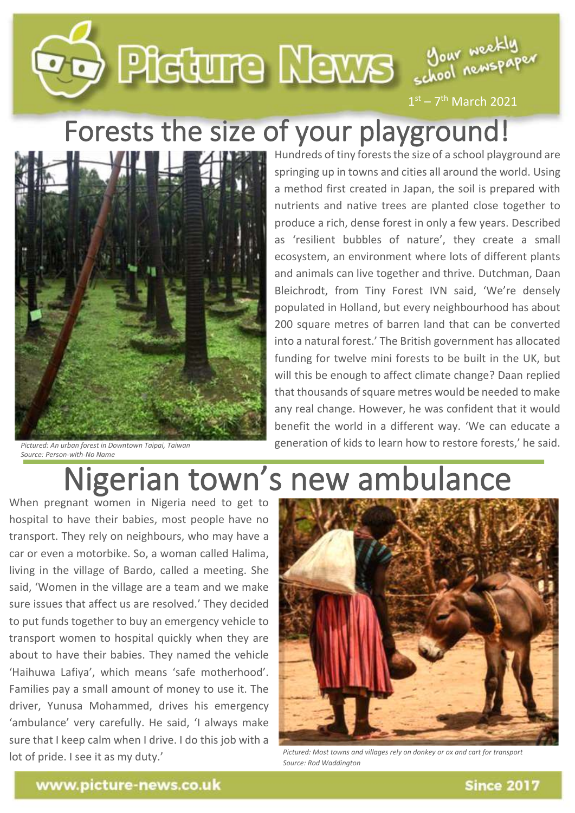

 $1<sup>st</sup> - 7<sup>th</sup>$  March 2021

## Forests the size of your playground!



*Pictured: An urban forest in Downtown Taipai, Taiwan Source: Person-with-No Name*

Hundreds of tiny forests the size of a school playground are springing up in towns and cities all around the world. Using a method first created in Japan, the soil is prepared with nutrients and native trees are planted close together to produce a rich, dense forest in only a few years. Described as 'resilient bubbles of nature', they create a small ecosystem, an environment where lots of different plants and animals can live together and thrive. Dutchman, Daan Bleichrodt, from Tiny Forest IVN said, 'We're densely populated in Holland, but every neighbourhood has about 200 square metres of barren land that can be converted into a natural forest.' The British government has allocated funding for twelve mini forests to be built in the UK, but will this be enough to affect climate change? Daan replied that thousands of square metres would be needed to make any real change. However, he was confident that it would benefit the world in a different way. 'We can educate a generation of kids to learn how to restore forests,' he said.

## Nigerian town's new ambulance

When pregnant women in Nigeria need to get to hospital to have their babies, most people have no transport. They rely on neighbours, who may have a car or even a motorbike. So, a woman called Halima, living in the village of Bardo, called a meeting. She said, 'Women in the village are a team and we make sure issues that affect us are resolved.' They decided to put funds together to buy an emergency vehicle to transport women to hospital quickly when they are about to have their babies. They named the vehicle 'Haihuwa Lafiya', which means 'safe motherhood'. Families pay a small amount of money to use it. The driver, Yunusa Mohammed, drives his emergency 'ambulance' very carefully. He said, 'I always make sure that I keep calm when I drive. I do this job with a lot of pride. I see it as my duty.'



*Pictured: Most towns and villages rely on donkey or ox and cart for transport Source: Rod Waddington*